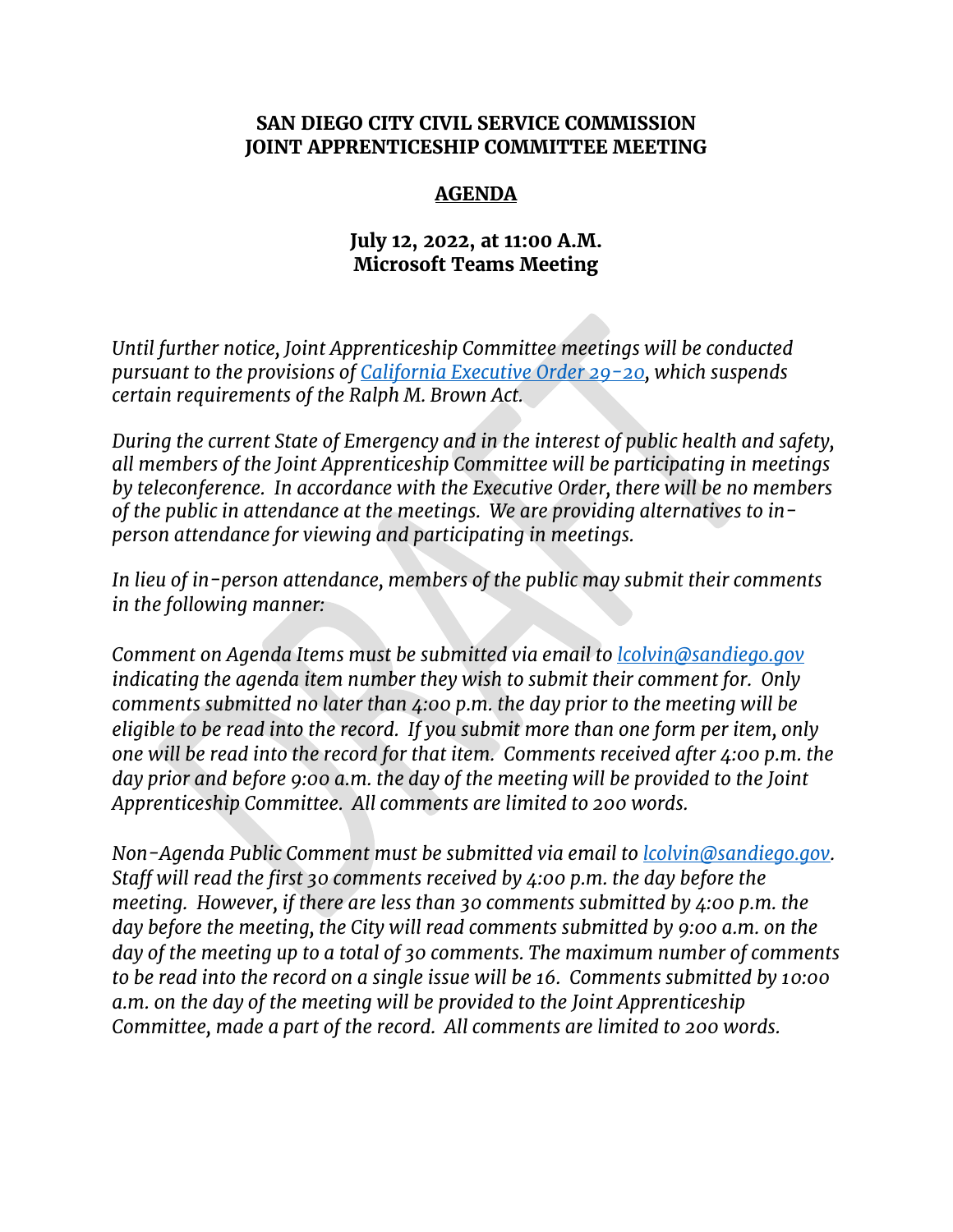#### **SAN DIEGO CITY CIVIL SERVICE COMMISSION JOINT APPRENTICESHIP COMMITTEE MEETING**

### **AGENDA**

## **July 12, 2022, at 11:00 A.M. Microsoft Teams Meeting**

*Until further notice, Joint Apprenticeship Committee meetings will be conducted pursuant to the provisions of [California Executive Order 29-20,](http://www.gov.ca.gov/wp-content/uploads/2020/03/3.17.20-N-29-20-EO.pdf) which suspends certain requirements of the Ralph M. Brown Act.* 

*During the current State of Emergency and in the interest of public health and safety, all members of the Joint Apprenticeship Committee will be participating in meetings by teleconference. In accordance with the Executive Order, there will be no members of the public in attendance at the meetings. We are providing alternatives to inperson attendance for viewing and participating in meetings.*

*In lieu of in-person attendance, members of the public may submit their comments in the following manner:*

*Comment on Agenda Items must be submitted via email to [lcolvin@sandiego.gov](mailto:lcolvin@sandiego.gov) indicating the agenda item number they wish to submit their comment for. Only comments submitted no later than 4:00 p.m. the day prior to the meeting will be eligible to be read into the record. If you submit more than one form per item, only one will be read into the record for that item. Comments received after 4:00 p.m. the day prior and before 9:00 a.m. the day of the meeting will be provided to the Joint Apprenticeship Committee. All comments are limited to 200 words.* 

*Non-Agenda Public Comment must be submitted via email to [lcolvin@sandiego.gov.](mailto:lcolvin@sandiego.gov) Staff will read the first 30 comments received by 4:00 p.m. the day before the meeting. However, if there are less than 30 comments submitted by 4:00 p.m. the day before the meeting, the City will read comments submitted by 9:00 a.m. on the day of the meeting up to a total of 30 comments. The maximum number of comments to be read into the record on a single issue will be 16. Comments submitted by 10:00 a.m. on the day of the meeting will be provided to the Joint Apprenticeship Committee, made a part of the record. All comments are limited to 200 words.*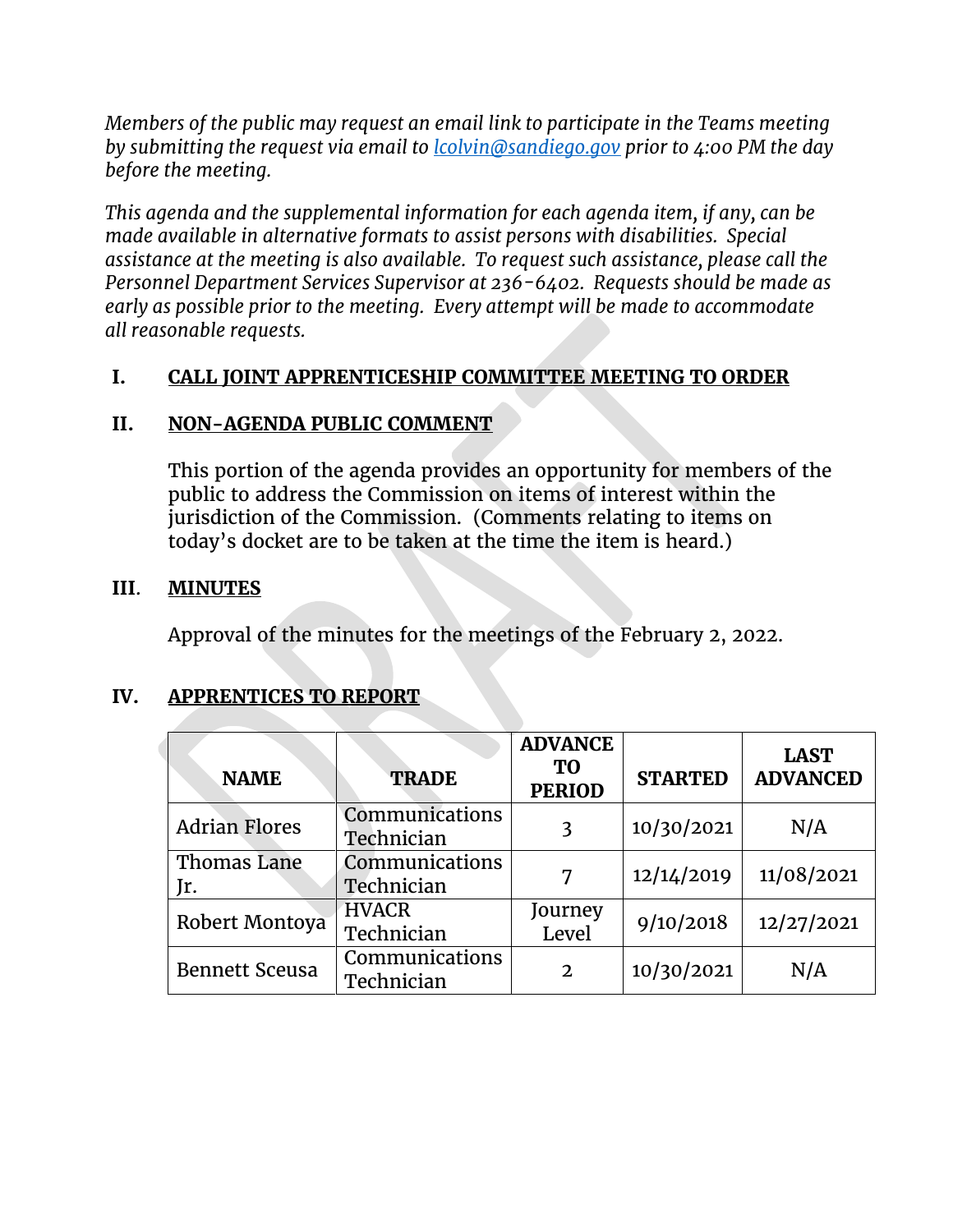*Members of the public may request an email link to participate in the Teams meeting by submitting the request via email to [lcolvin@sandiego.gov](mailto:lcolvin@sandiego.gov) prior to 4:00 PM the day before the meeting.*

*This agenda and the supplemental information for each agenda item, if any, can be made available in alternative formats to assist persons with disabilities. Special assistance at the meeting is also available. To request such assistance, please call the Personnel Department Services Supervisor at 236-6402. Requests should be made as early as possible prior to the meeting. Every attempt will be made to accommodate all reasonable requests.*

## **I. CALL JOINT APPRENTICESHIP COMMITTEE MEETING TO ORDER**

# **II. NON-AGENDA PUBLIC COMMENT**

This portion of the agenda provides an opportunity for members of the public to address the Commission on items of interest within the jurisdiction of the Commission. (Comments relating to items on today's docket are to be taken at the time the item is heard.)

## **III**. **MINUTES**

Approval of the minutes for the meetings of the February 2, 2022.

## **IV. APPRENTICES TO REPORT**

| <b>NAME</b>           | <b>TRADE</b>                 | <b>ADVANCE</b><br>TO<br><b>PERIOD</b> | <b>STARTED</b> | <b>LAST</b><br><b>ADVANCED</b> |
|-----------------------|------------------------------|---------------------------------------|----------------|--------------------------------|
| <b>Adrian Flores</b>  | Communications<br>Technician | 3                                     | 10/30/2021     | N/A                            |
| Thomas Lane<br>Jr.    | Communications<br>Technician | 7                                     | 12/14/2019     | 11/08/2021                     |
| Robert Montoya        | <b>HVACR</b><br>Technician   | Journey<br>Level                      | 9/10/2018      | 12/27/2021                     |
| <b>Bennett Sceusa</b> | Communications<br>Technician | $\mathbf{2}$                          | 10/30/2021     | N/A                            |